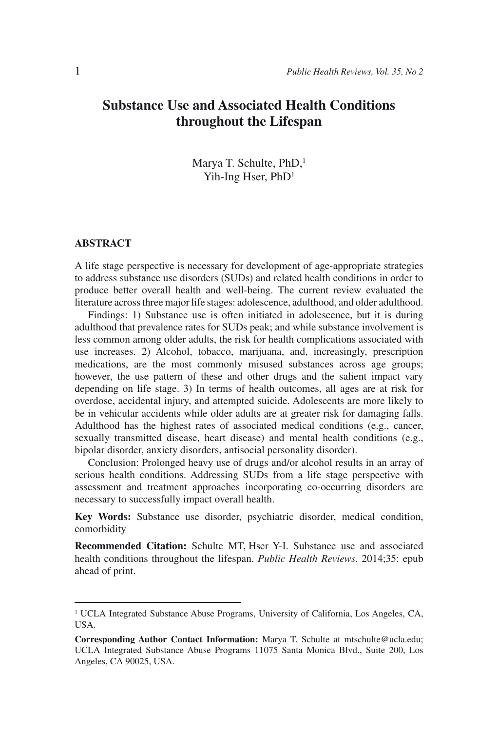# **Substance Use and Associated Health Conditions throughout the Lifespan**

Marya T. Schulte, PhD,<sup>1</sup> Yih-Ing Hser, PhD<sup>1</sup>

#### **ABSTRACT**

A life stage perspective is necessary for development of age-appropriate strategies to address substance use disorders (SUDs) and related health conditions in order to produce better overall health and well-being. The current review evaluated the literature across three major life stages: adolescence, adulthood, and older adulthood.

Findings: 1) Substance use is often initiated in adolescence, but it is during adulthood that prevalence rates for SUDs peak; and while substance involvement is less common among older adults, the risk for health complications associated with use increases. 2) Alcohol, tobacco, marijuana, and, increasingly, prescription medications, are the most commonly misused substances across age groups; however, the use pattern of these and other drugs and the salient impact vary depending on life stage. 3) In terms of health outcomes, all ages are at risk for overdose, accidental injury, and attempted suicide. Adolescents are more likely to be in vehicular accidents while older adults are at greater risk for damaging falls. Adulthood has the highest rates of associated medical conditions (e.g., cancer, sexually transmitted disease, heart disease) and mental health conditions (e.g., bipolar disorder, anxiety disorders, antisocial personality disorder).

Conclusion: Prolonged heavy use of drugs and/or alcohol results in an array of serious health conditions. Addressing SUDs from a life stage perspective with assessment and treatment approaches incorporating co-occurring disorders are necessary to successfully impact overall health.

**Key Words:** Substance use disorder, psychiatric disorder, medical condition, comorbidity

**Recommended Citation:** Schulte MT, Hser Y-I. Substance use and associated health conditions throughout the lifespan. *Public Health Reviews.* 2014;35: epub ahead of print.

<sup>&</sup>lt;sup>1</sup> UCLA Integrated Substance Abuse Programs, University of California, Los Angeles, CA, USA.

**Corresponding Author Contact Information:** Marya T. Schulte at mtschulte@ucla.edu; UCLA Integrated Substance Abuse Programs 11075 Santa Monica Blvd., Suite 200, Los Angeles, CA 90025, USA.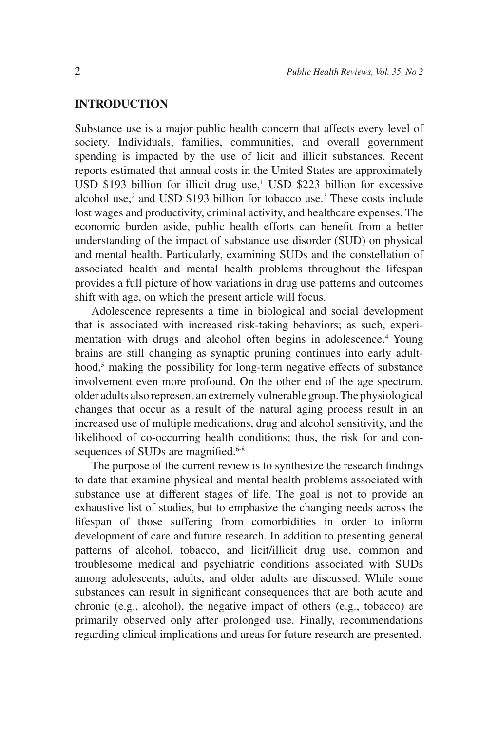## **INTRODUCTION**

Substance use is a major public health concern that affects every level of society. Individuals, families, communities, and overall government spending is impacted by the use of licit and illicit substances. Recent reports estimated that annual costs in the United States are approximately USD  $$193$  billion for illicit drug use,<sup>1</sup> USD  $$223$  billion for excessive alcohol use, $2$  and USD \$193 billion for tobacco use.<sup>3</sup> These costs include lost wages and productivity, criminal activity, and healthcare expenses. The economic burden aside, public health efforts can benefit from a better understanding of the impact of substance use disorder (SUD) on physical and mental health. Particularly, examining SUDs and the constellation of associated health and mental health problems throughout the lifespan provides a full picture of how variations in drug use patterns and outcomes shift with age, on which the present article will focus.

Adolescence represents a time in biological and social development that is associated with increased risk-taking behaviors; as such, experimentation with drugs and alcohol often begins in adolescence.<sup>4</sup> Young brains are still changing as synaptic pruning continues into early adulthood,<sup>5</sup> making the possibility for long-term negative effects of substance involvement even more profound. On the other end of the age spectrum, older adults also represent an extremely vulnerable group. The physiological changes that occur as a result of the natural aging process result in an increased use of multiple medications, drug and alcohol sensitivity, and the likelihood of co-occurring health conditions; thus, the risk for and consequences of SUDs are magnified.<sup>6-8</sup>

The purpose of the current review is to synthesize the research findings to date that examine physical and mental health problems associated with substance use at different stages of life. The goal is not to provide an exhaustive list of studies, but to emphasize the changing needs across the lifespan of those suffering from comorbidities in order to inform development of care and future research. In addition to presenting general patterns of alcohol, tobacco, and licit/illicit drug use, common and troublesome medical and psychiatric conditions associated with SUDs among adolescents, adults, and older adults are discussed. While some substances can result in significant consequences that are both acute and chronic (e.g., alcohol), the negative impact of others (e.g., tobacco) are primarily observed only after prolonged use. Finally, recommendations regarding clinical implications and areas for future research are presented.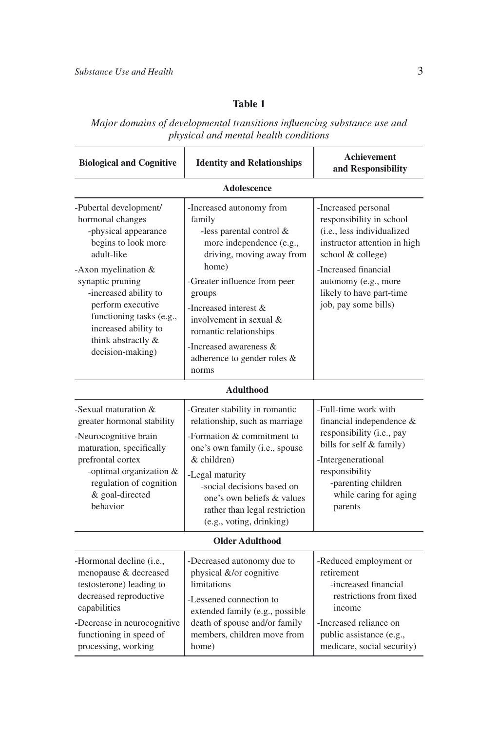# **Table 1**

*Major domains of developmental transitions influencing substance use and physical and mental health conditions*

| <b>Biological and Cognitive</b>                                                                                                                                                                                                                                                                | <b>Identity and Relationships</b>                                                                                                                                                                                                                                                                                             | <b>Achievement</b><br>and Responsibility                                                                                                                                                                                               |  |
|------------------------------------------------------------------------------------------------------------------------------------------------------------------------------------------------------------------------------------------------------------------------------------------------|-------------------------------------------------------------------------------------------------------------------------------------------------------------------------------------------------------------------------------------------------------------------------------------------------------------------------------|----------------------------------------------------------------------------------------------------------------------------------------------------------------------------------------------------------------------------------------|--|
| <b>Adolescence</b>                                                                                                                                                                                                                                                                             |                                                                                                                                                                                                                                                                                                                               |                                                                                                                                                                                                                                        |  |
| -Pubertal development/<br>hormonal changes<br>-physical appearance<br>begins to look more<br>adult-like<br>-Axon myelination &<br>synaptic pruning<br>-increased ability to<br>perform executive<br>functioning tasks (e.g.,<br>increased ability to<br>think abstractly &<br>decision-making) | -Increased autonomy from<br>family<br>-less parental control &<br>more independence (e.g.,<br>driving, moving away from<br>home)<br>-Greater influence from peer<br>groups<br>-Increased interest $\&$<br>involvement in sexual &<br>romantic relationships<br>-Increased awareness &<br>adherence to gender roles &<br>norms | -Increased personal<br>responsibility in school<br>(i.e., less individualized<br>instructor attention in high<br>school & college)<br>-Increased financial<br>autonomy (e.g., more<br>likely to have part-time<br>job, pay some bills) |  |
| <b>Adulthood</b>                                                                                                                                                                                                                                                                               |                                                                                                                                                                                                                                                                                                                               |                                                                                                                                                                                                                                        |  |
| -Sexual maturation $\&$<br>greater hormonal stability<br>-Neurocognitive brain<br>maturation, specifically<br>prefrontal cortex<br>-optimal organization &<br>regulation of cognition<br>& goal-directed<br>behavior                                                                           | -Greater stability in romantic<br>relationship, such as marriage<br>-Formation & commitment to<br>one's own family (i.e., spouse<br>& children)<br>-Legal maturity<br>-social decisions based on<br>one's own beliefs & values<br>rather than legal restriction<br>(e.g., voting, drinking)                                   | -Full-time work with<br>financial independence &<br>responsibility (i.e., pay<br>bills for self & family)<br>-Intergenerational<br>responsibility<br>-parenting children<br>while caring for aging<br>parents                          |  |
| <b>Older Adulthood</b>                                                                                                                                                                                                                                                                         |                                                                                                                                                                                                                                                                                                                               |                                                                                                                                                                                                                                        |  |
| -Hormonal decline (i.e.,<br>menopause & decreased<br>testosterone) leading to<br>decreased reproductive<br>capabilities<br>-Decrease in neurocognitive<br>functioning in speed of<br>processing, working                                                                                       | -Decreased autonomy due to<br>physical &/or cognitive<br>limitations<br>-Lessened connection to<br>extended family (e.g., possible<br>death of spouse and/or family<br>members, children move from<br>home)                                                                                                                   | -Reduced employment or<br>retirement<br>-increased financial<br>restrictions from fixed<br>income<br>-Increased reliance on<br>public assistance (e.g.,<br>medicare, social security)                                                  |  |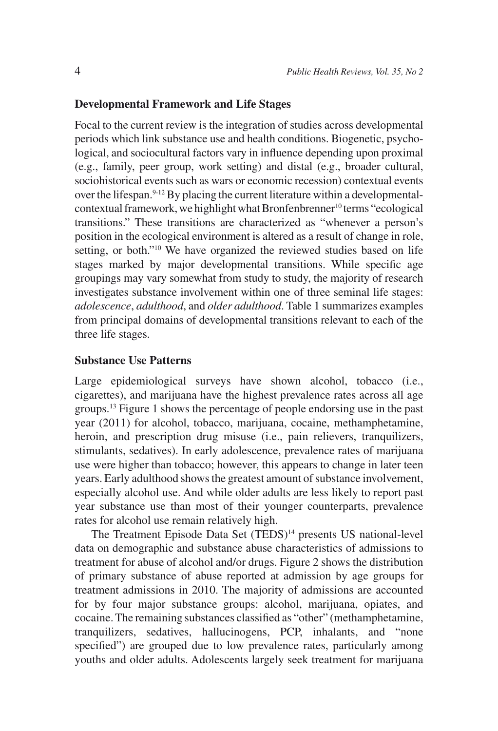#### **Developmental Framework and Life Stages**

Focal to the current review is the integration of studies across developmental periods which link substance use and health conditions. Biogenetic, psychological, and sociocultural factors vary in influence depending upon proximal (e.g., family, peer group, work setting) and distal (e.g., broader cultural, sociohistorical events such as wars or economic recession) contextual events over the lifespan.<sup>9-12</sup> By placing the current literature within a developmentalcontextual framework, we highlight what Bronfenbrenner<sup>10</sup> terms "ecological transitions." These transitions are characterized as "whenever a person's position in the ecological environment is altered as a result of change in role, setting, or both."10 We have organized the reviewed studies based on life stages marked by major developmental transitions. While specific age groupings may vary somewhat from study to study, the majority of research investigates substance involvement within one of three seminal life stages: *adolescence*, *adulthood*, and *older adulthood*. Table 1 summarizes examples from principal domains of developmental transitions relevant to each of the three life stages.

### **Substance Use Patterns**

Large epidemiological surveys have shown alcohol, tobacco (i.e., cigarettes), and marijuana have the highest prevalence rates across all age groups.13 Figure 1 shows the percentage of people endorsing use in the past year (2011) for alcohol, tobacco, marijuana, cocaine, methamphetamine, heroin, and prescription drug misuse (i.e., pain relievers, tranquilizers, stimulants, sedatives). In early adolescence, prevalence rates of marijuana use were higher than tobacco; however, this appears to change in later teen years. Early adulthood shows the greatest amount of substance involvement, especially alcohol use. And while older adults are less likely to report past year substance use than most of their younger counterparts, prevalence rates for alcohol use remain relatively high.

The Treatment Episode Data Set (TEDS)<sup>14</sup> presents US national-level data on demographic and substance abuse characteristics of admissions to treatment for abuse of alcohol and/or drugs. Figure 2 shows the distribution of primary substance of abuse reported at admission by age groups for treatment admissions in 2010. The majority of admissions are accounted for by four major substance groups: alcohol, marijuana, opiates, and cocaine. The remaining substances classified as "other" (methamphetamine, tran quilizers, sedatives, hallucinogens, PCP, inhalants, and "none specified") are grouped due to low prevalence rates, particularly among youths and older adults. Adolescents largely seek treatment for marijuana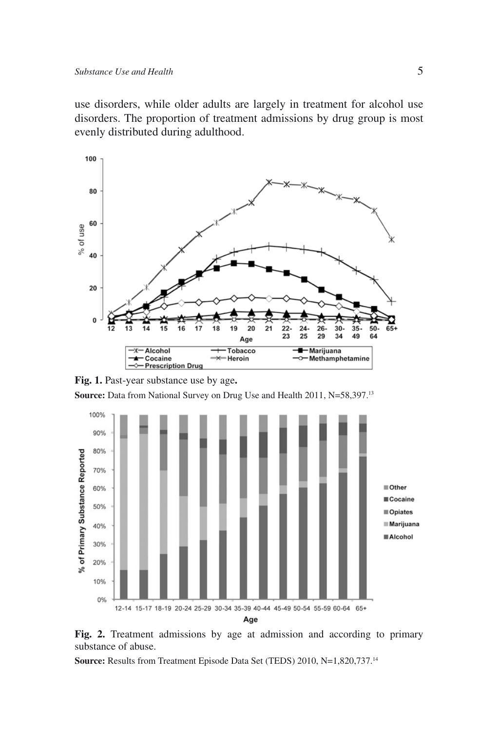use disorders, while older adults are largely in treatment for alcohol use disorders. The proportion of treatment admissions by drug group is most evenly distributed during adulthood.



**Fig. 1.** Past-year substance use by age**.**

**Source:** Data from National Survey on Drug Use and Health 2011, N=58,397.13



Fig. 2. Treatment admissions by age at admission and according to primary substance of abuse.

**Source:** Results from Treatment Episode Data Set (TEDS) 2010, N=1,820,737.14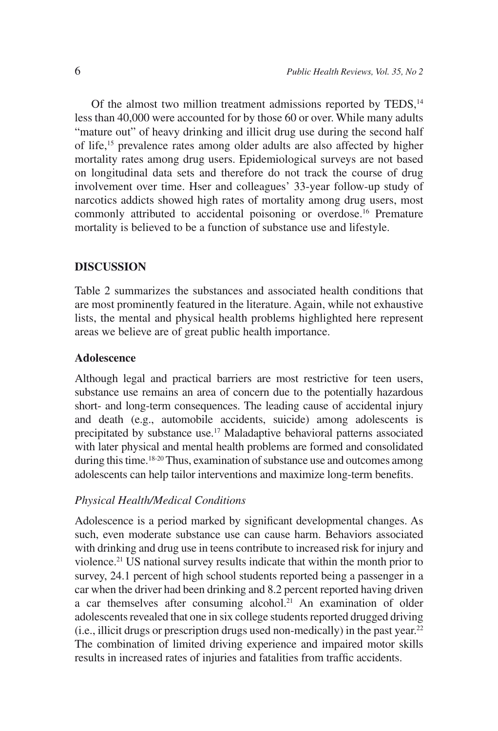Of the almost two million treatment admissions reported by TEDS,<sup>14</sup> less than 40,000 were accounted for by those 60 or over. While many adults "mature out" of heavy drinking and illicit drug use during the second half of life,15 prevalence rates among older adults are also affected by higher mortality rates among drug users. Epidemiological surveys are not based on longitudinal data sets and therefore do not track the course of drug involvement over time. Hser and colleagues' 33-year follow-up study of narcotics addicts showed high rates of mortality among drug users, most commonly attributed to accidental poisoning or overdose.16 Premature mortality is believed to be a function of substance use and lifestyle.

#### **DISCUSSION**

Table 2 summarizes the substances and associated health conditions that are most prominently featured in the literature. Again, while not exhaustive lists, the mental and physical health problems highlighted here represent areas we believe are of great public health importance.

# **Adolescence**

Although legal and practical barriers are most restrictive for teen users, substance use remains an area of concern due to the potentially hazardous short- and long-term consequences. The leading cause of accidental injury and death (e.g., automobile accidents, suicide) among adolescents is precipitated by substance use.<sup>17</sup> Maladaptive behavioral patterns associated with later physical and mental health problems are formed and consolidated during this time.<sup>18-20</sup> Thus, examination of substance use and outcomes among adolescents can help tailor interventions and maximize long-term benefits.

### *Physical Health/Medical Conditions*

Adolescence is a period marked by significant developmental changes. As such, even moderate substance use can cause harm. Behaviors associated with drinking and drug use in teens contribute to increased risk for injury and violence.21 US national survey results indicate that within the month prior to survey, 24.1 percent of high school students reported being a passenger in a car when the driver had been drinking and 8.2 percent reported having driven a car themselves after consuming alcohol.<sup>21</sup> An examination of older adolescents revealed that one in six college students reported drugged driving (i.e., illicit drugs or prescription drugs used non-medically) in the past year.<sup>22</sup> The combination of limited driving experience and impaired motor skills results in increased rates of injuries and fatalities from traffic accidents.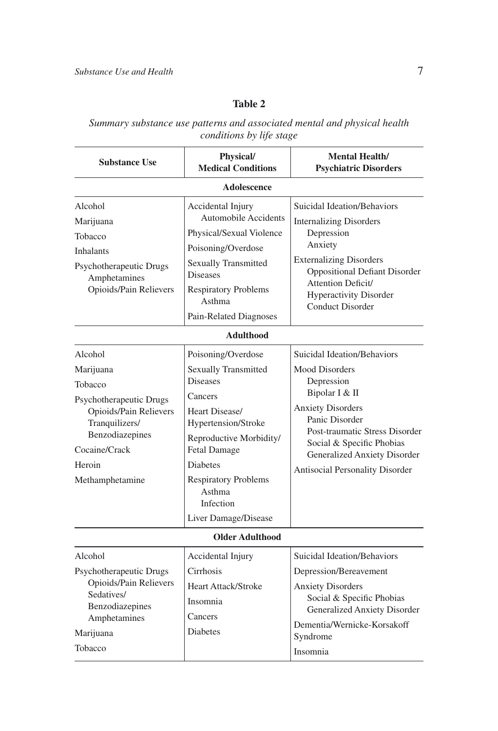# **Table 2**

*Summary substance use patterns and associated mental and physical health conditions by life stage*

| <b>Substance Use</b>                                                                                                                                                    | Physical/<br><b>Medical Conditions</b>                                                                                                                                                                                                                                      | <b>Mental Health/</b><br><b>Psychiatric Disorders</b>                                                                                                                                                                                                                       |  |
|-------------------------------------------------------------------------------------------------------------------------------------------------------------------------|-----------------------------------------------------------------------------------------------------------------------------------------------------------------------------------------------------------------------------------------------------------------------------|-----------------------------------------------------------------------------------------------------------------------------------------------------------------------------------------------------------------------------------------------------------------------------|--|
| <b>Adolescence</b>                                                                                                                                                      |                                                                                                                                                                                                                                                                             |                                                                                                                                                                                                                                                                             |  |
| Alcohol<br>Marijuana<br>Tobacco<br><b>Inhalants</b><br>Psychotherapeutic Drugs<br>Amphetamines<br>Opioids/Pain Relievers                                                | Accidental Injury<br><b>Automobile Accidents</b><br>Physical/Sexual Violence<br>Poisoning/Overdose<br><b>Sexually Transmitted</b>                                                                                                                                           | Suicidal Ideation/Behaviors<br><b>Internalizing Disorders</b><br>Depression<br>Anxiety<br><b>Externalizing Disorders</b><br><b>Oppositional Defiant Disorder</b><br>Attention Deficit/<br><b>Hyperactivity Disorder</b><br><b>Conduct Disorder</b>                          |  |
|                                                                                                                                                                         | <b>Diseases</b><br><b>Respiratory Problems</b><br>Asthma<br>Pain-Related Diagnoses                                                                                                                                                                                          |                                                                                                                                                                                                                                                                             |  |
| <b>Adulthood</b>                                                                                                                                                        |                                                                                                                                                                                                                                                                             |                                                                                                                                                                                                                                                                             |  |
| Alcohol<br>Marijuana<br>Tobacco<br>Psychotherapeutic Drugs<br>Opioids/Pain Relievers<br>Tranquilizers/<br>Benzodiazepines<br>Cocaine/Crack<br>Heroin<br>Methamphetamine | Poisoning/Overdose<br><b>Sexually Transmitted</b><br><b>Diseases</b><br>Cancers<br>Heart Disease/<br>Hypertension/Stroke<br>Reproductive Morbidity/<br><b>Fetal Damage</b><br><b>Diabetes</b><br><b>Respiratory Problems</b><br>Asthma<br>Infection<br>Liver Damage/Disease | Suicidal Ideation/Behaviors<br><b>Mood Disorders</b><br>Depression<br>Bipolar I & II<br><b>Anxiety Disorders</b><br>Panic Disorder<br>Post-traumatic Stress Disorder<br>Social & Specific Phobias<br><b>Generalized Anxiety Disorder</b><br>Antisocial Personality Disorder |  |
| <b>Older Adulthood</b>                                                                                                                                                  |                                                                                                                                                                                                                                                                             |                                                                                                                                                                                                                                                                             |  |
| Alcohol                                                                                                                                                                 | Accidental Injury                                                                                                                                                                                                                                                           | Suicidal Ideation/Behaviors                                                                                                                                                                                                                                                 |  |
| Psychotherapeutic Drugs<br>Opioids/Pain Relievers<br>Sedatives/<br>Benzodiazepines<br>Amphetamines                                                                      | Cirrhosis<br>Heart Attack/Stroke<br>Insomnia<br>Cancers                                                                                                                                                                                                                     | Depression/Bereavement<br><b>Anxiety Disorders</b><br>Social & Specific Phobias<br><b>Generalized Anxiety Disorder</b><br>Dementia/Wernicke-Korsakoff                                                                                                                       |  |
| Marijuana<br>Tobacco                                                                                                                                                    | Diabetes                                                                                                                                                                                                                                                                    | Syndrome<br>Insomnia                                                                                                                                                                                                                                                        |  |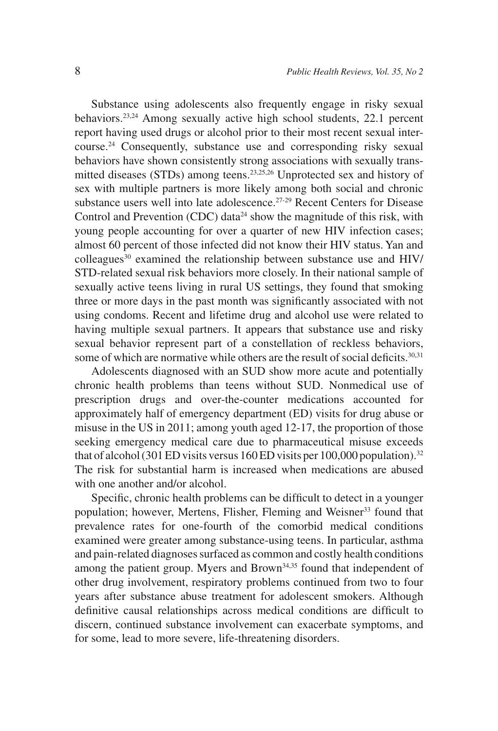Substance using adolescents also frequently engage in risky sexual behaviors.23,24 Among sexually active high school students, 22.1 percent report having used drugs or alcohol prior to their most recent sexual intercourse.24 Consequently, substance use and corresponding risky sexual behaviors have shown consistently strong associations with sexually transmitted diseases (STDs) among teens.<sup>23,25,26</sup> Unprotected sex and history of sex with multiple partners is more likely among both social and chronic substance users well into late adolescence.<sup>27-29</sup> Recent Centers for Disease Control and Prevention (CDC) data<sup>24</sup> show the magnitude of this risk, with young people accounting for over a quarter of new HIV infection cases; almost 60 percent of those infected did not know their HIV status. Yan and  $\text{colleagues}^{30}$  examined the relationship between substance use and HIV/ STD-related sexual risk behaviors more closely. In their national sample of sexually active teens living in rural US settings, they found that smoking three or more days in the past month was significantly associated with not using condoms. Recent and lifetime drug and alcohol use were related to having multiple sexual partners. It appears that substance use and risky sexual behavior represent part of a constellation of reckless behaviors, some of which are normative while others are the result of social deficits.<sup>30,31</sup>

Adolescents diagnosed with an SUD show more acute and potentially chronic health problems than teens without SUD. Nonmedical use of prescription drugs and over-the-counter medications accounted for approximately half of emergency department (ED) visits for drug abuse or misuse in the US in 2011; among youth aged 12-17, the proportion of those seeking emergency medical care due to pharmaceutical misuse exceeds that of alcohol (301 ED visits versus 160 ED visits per 100,000 population).<sup>32</sup> The risk for substantial harm is increased when medications are abused with one another and/or alcohol.

Specific, chronic health problems can be difficult to detect in a younger population; however, Mertens, Flisher, Fleming and Weisner<sup>33</sup> found that prevalence rates for one-fourth of the comorbid medical conditions examined were greater among substance-using teens. In particular, asthma and pain-related diagnoses surfaced as common and costly health conditions among the patient group. Myers and Brown<sup>34,35</sup> found that independent of other drug involvement, respiratory problems continued from two to four years after substance abuse treatment for adolescent smokers. Although definitive causal relationships across medical conditions are difficult to discern, continued substance involvement can exacerbate symptoms, and for some, lead to more severe, life-threatening disorders.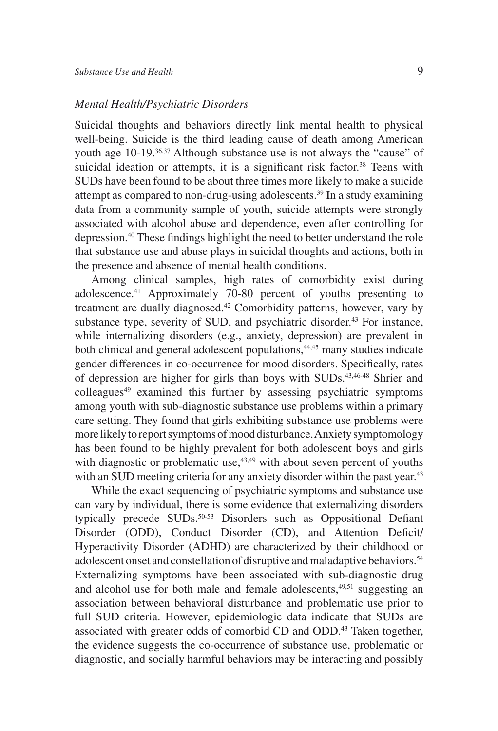#### *Mental Health/Psychiatric Disorders*

Suicidal thoughts and behaviors directly link mental health to physical well-being. Suicide is the third leading cause of death among American youth age 10-19.<sup>36,37</sup> Although substance use is not always the "cause" of suicidal ideation or attempts, it is a significant risk factor.<sup>38</sup> Teens with SUDs have been found to be about three times more likely to make a suicide attempt as compared to non-drug-using adolescents.39 In a study examining data from a community sample of youth, suicide attempts were strongly associated with alcohol abuse and dependence, even after controlling for depression.40 These findings highlight the need to better understand the role that substance use and abuse plays in suicidal thoughts and actions, both in the presence and absence of mental health conditions.

Among clinical samples, high rates of comorbidity exist during adolescence.41 Approximately 70-80 percent of youths presenting to treatment are dually diagnosed.<sup>42</sup> Comorbidity patterns, however, vary by substance type, severity of SUD, and psychiatric disorder.<sup>43</sup> For instance, while internalizing disorders (e.g., anxiety, depression) are prevalent in both clinical and general adolescent populations,<sup>44,45</sup> many studies indicate gender differences in co-occurrence for mood disorders. Specifically, rates of depression are higher for girls than boys with SUDs.43,46-48 Shrier and colleagues<sup>49</sup> examined this further by assessing psychiatric symptoms among youth with sub-diagnostic substance use problems within a primary care setting. They found that girls exhibiting substance use problems were more likely to report symptoms of mood disturbance. Anxiety symptomology has been found to be highly prevalent for both adolescent boys and girls with diagnostic or problematic use,<sup>43,49</sup> with about seven percent of youths with an SUD meeting criteria for any anxiety disorder within the past year.<sup>43</sup>

While the exact sequencing of psychiatric symptoms and substance use can vary by individual, there is some evidence that externalizing disorders typically precede SUDs.<sup>50-53</sup> Disorders such as Oppositional Defiant Disorder (ODD), Conduct Disorder (CD), and Attention Deficit/ Hyperactivity Disorder (ADHD) are characterized by their childhood or adolescent onset and constellation of disruptive and maladaptive behaviors.<sup>54</sup> Externalizing symptoms have been associated with sub-diagnostic drug and alcohol use for both male and female adolescents,<sup>49,51</sup> suggesting an association between behavioral disturbance and problematic use prior to full SUD criteria. However, epidemiologic data indicate that SUDs are associated with greater odds of comorbid CD and ODD.<sup>43</sup> Taken together, the evidence suggests the co-occurrence of substance use, problematic or diagnostic, and socially harmful behaviors may be interacting and possibly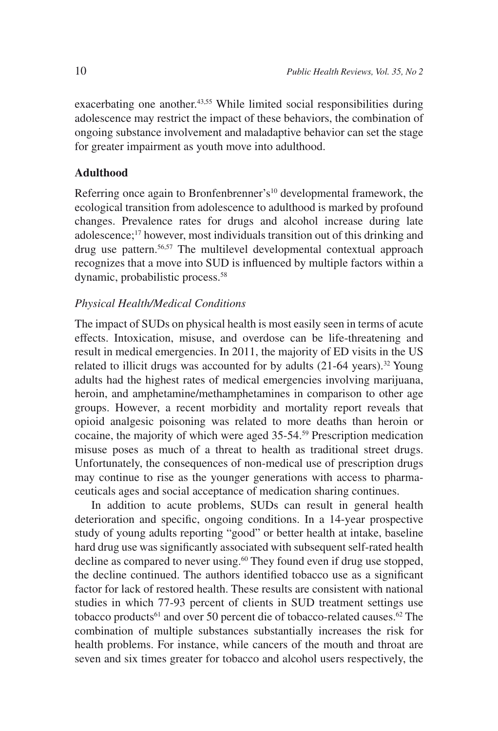exacerbating one another.<sup>43,55</sup> While limited social responsibilities during adolescence may restrict the impact of these behaviors, the combination of ongoing substance involvement and maladaptive behavior can set the stage for greater impairment as youth move into adulthood.

### **Adulthood**

Referring once again to Bronfenbrenner's<sup>10</sup> developmental framework, the ecological transition from adolescence to adulthood is marked by profound changes. Prevalence rates for drugs and alcohol increase during late adolescence;17 however, most individuals transition out of this drinking and drug use pattern.56,57 The multilevel developmental contextual approach recognizes that a move into SUD is influenced by multiple factors within a dynamic, probabilistic process.58

### *Physical Health/Medical Conditions*

The impact of SUDs on physical health is most easily seen in terms of acute effects. Intoxication, misuse, and overdose can be life-threatening and result in medical emergencies. In 2011, the majority of ED visits in the US related to illicit drugs was accounted for by adults  $(21-64 \text{ years})$ .<sup>32</sup> Young adults had the highest rates of medical emergencies involving marijuana, heroin, and amphetamine/methamphetamines in comparison to other age groups. However, a recent morbidity and mortality report reveals that opioid analgesic poisoning was related to more deaths than heroin or cocaine, the majority of which were aged 35-54.59 Prescription medication misuse poses as much of a threat to health as traditional street drugs. Unfortunately, the consequences of non-medical use of prescription drugs may continue to rise as the younger generations with access to pharmaceuticals ages and social acceptance of medication sharing continues.

In addition to acute problems, SUDs can result in general health deterioration and specific, ongoing conditions. In a 14-year prospective study of young adults reporting "good" or better health at intake, baseline hard drug use was significantly associated with subsequent self-rated health decline as compared to never using.<sup>60</sup> They found even if drug use stopped, the decline continued. The authors identified tobacco use as a significant factor for lack of restored health. These results are consistent with national studies in which 77-93 percent of clients in SUD treatment settings use tobacco products<sup>61</sup> and over 50 percent die of tobacco-related causes.<sup>62</sup> The combination of multiple substances substantially increases the risk for health problems. For instance, while cancers of the mouth and throat are seven and six times greater for tobacco and alcohol users respectively, the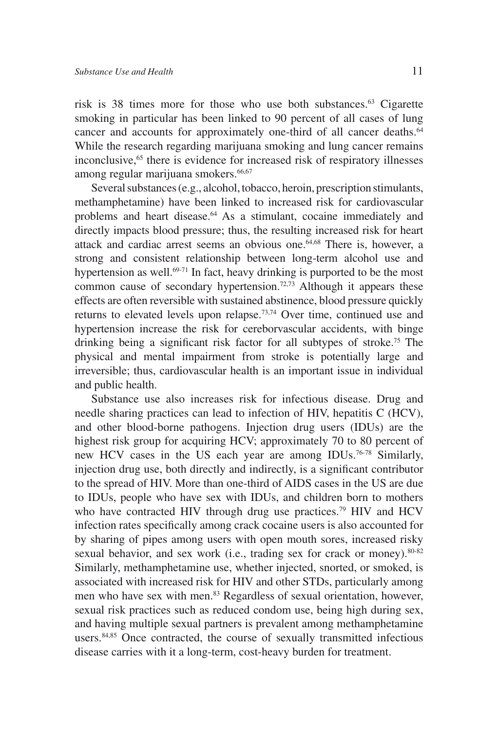risk is 38 times more for those who use both substances.<sup>63</sup> Cigarette smoking in particular has been linked to 90 percent of all cases of lung cancer and accounts for approximately one-third of all cancer deaths.<sup>64</sup> While the research regarding marijuana smoking and lung cancer remains inconclusive,<sup>65</sup> there is evidence for increased risk of respiratory illnesses among regular marijuana smokers.<sup>66,67</sup>

Several substances (e.g., alcohol, tobacco, heroin, prescription stimulants, methamphetamine) have been linked to increased risk for cardiovascular problems and heart disease.<sup>64</sup> As a stimulant, cocaine immediately and directly impacts blood pressure; thus, the resulting increased risk for heart attack and cardiac arrest seems an obvious one.<sup>64,68</sup> There is, however, a strong and consistent relationship between long-term alcohol use and hypertension as well.<sup>69-71</sup> In fact, heavy drinking is purported to be the most common cause of secondary hypertension.<sup>72,73</sup> Although it appears these effects are often reversible with sustained abstinence, blood pressure quickly returns to elevated levels upon relapse.73,74 Over time, continued use and hypertension increase the risk for cereborvascular accidents, with binge drinking being a significant risk factor for all subtypes of stroke.75 The physical and mental impairment from stroke is potentially large and irreversible; thus, cardiovascular health is an important issue in individual and public health.

Substance use also increases risk for infectious disease. Drug and needle sharing practices can lead to infection of HIV, hepatitis C (HCV), and other blood-borne pathogens. Injection drug users (IDUs) are the highest risk group for acquiring HCV; approximately 70 to 80 percent of new HCV cases in the US each year are among IDUs.76-78 Similarly, injection drug use, both directly and indirectly, is a significant contributor to the spread of HIV. More than one-third of AIDS cases in the US are due to IDUs, people who have sex with IDUs, and children born to mothers who have contracted HIV through drug use practices.<sup>79</sup> HIV and HCV infection rates specifically among crack cocaine users is also accounted for by sharing of pipes among users with open mouth sores, increased risky sexual behavior, and sex work (i.e., trading sex for crack or money). $80-82$ Similarly, methamphetamine use, whether injected, snorted, or smoked, is associated with increased risk for HIV and other STDs, particularly among men who have sex with men.<sup>83</sup> Regardless of sexual orientation, however, sexual risk practices such as reduced condom use, being high during sex, and having multiple sexual partners is prevalent among methamphetamine users.<sup>84,85</sup> Once contracted, the course of sexually transmitted infectious disease carries with it a long-term, cost-heavy burden for treatment.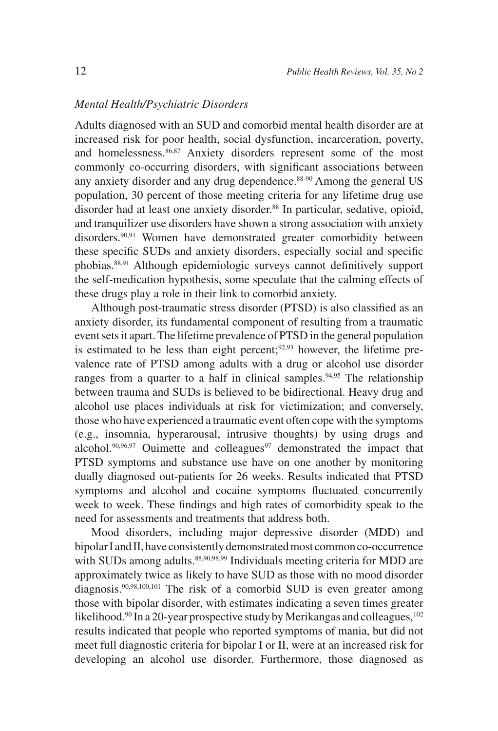### *Mental Health/Psychiatric Disorders*

Adults diagnosed with an SUD and comorbid mental health disorder are at increased risk for poor health, social dysfunction, incarceration, poverty, and homelessness.<sup>86,87</sup> Anxiety disorders represent some of the most commonly co-occurring disorders, with significant associations between any anxiety disorder and any drug dependence.<sup>88-90</sup> Among the general US population, 30 percent of those meeting criteria for any lifetime drug use disorder had at least one anxiety disorder.<sup>88</sup> In particular, sedative, opioid, and tranquilizer use disorders have shown a strong association with anxiety disorders.<sup>90,91</sup> Women have demonstrated greater comorbidity between these specific SUDs and anxiety disorders, especially social and specific phobias.88,91 Although epidemiologic surveys cannot definitively support the self-medication hypothesis, some speculate that the calming effects of these drugs play a role in their link to comorbid anxiety.

Although post-traumatic stress disorder (PTSD) is also classified as an anxiety disorder, its fundamental component of resulting from a traumatic event sets it apart. The lifetime prevalence of PTSD in the general population is estimated to be less than eight percent; $92,93$  however, the lifetime prevalence rate of PTSD among adults with a drug or alcohol use disorder ranges from a quarter to a half in clinical samples.<sup>94,95</sup> The relationship between trauma and SUDs is believed to be bidirectional. Heavy drug and alcohol use places individuals at risk for victimization; and conversely, those who have experienced a traumatic event often cope with the symptoms (e.g., insomnia, hyperarousal, intrusive thoughts) by using drugs and alcohol. $90,96,97$  Ouimette and colleagues<sup>97</sup> demonstrated the impact that PTSD symptoms and substance use have on one another by monitoring dually diagnosed out-patients for 26 weeks. Results indicated that PTSD symptoms and alcohol and cocaine symptoms fluctuated concurrently week to week. These findings and high rates of comorbidity speak to the need for assessments and treatments that address both.

Mood disorders, including major depressive disorder (MDD) and bipolar I and II, have consistently demonstrated most common co-occurrence with SUDs among adults.<sup>88,90,98,99</sup> Individuals meeting criteria for MDD are approximately twice as likely to have SUD as those with no mood disorder diagnosis.90,98,100,101 The risk of a comorbid SUD is even greater among those with bipolar disorder, with estimates indicating a seven times greater likelihood.<sup>90</sup> In a 20-year prospective study by Merikangas and colleagues,<sup>102</sup> results indicated that people who reported symptoms of mania, but did not meet full diagnostic criteria for bipolar I or II, were at an increased risk for developing an alcohol use disorder. Furthermore, those diagnosed as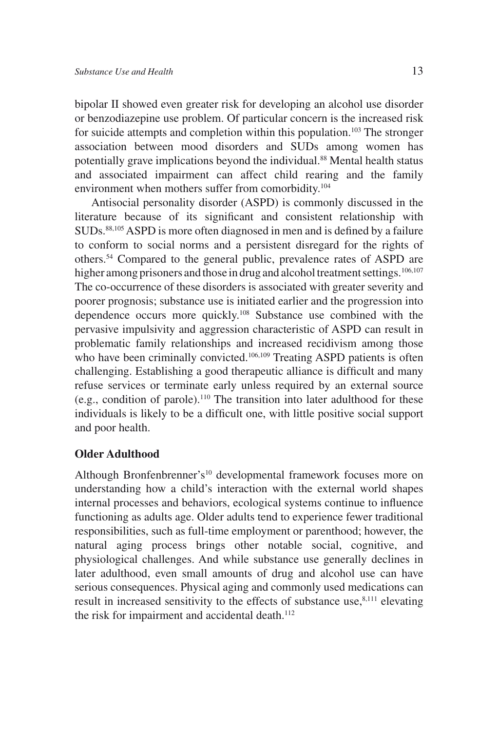bipolar II showed even greater risk for developing an alcohol use disorder or benzodiazepine use problem. Of particular concern is the increased risk for suicide attempts and completion within this population.<sup>103</sup> The stronger association between mood disorders and SUDs among women has potentially grave implications beyond the individual.<sup>88</sup> Mental health status and associated impairment can affect child rearing and the family environment when mothers suffer from comorbidity.104

Antisocial personality disorder (ASPD) is commonly discussed in the literature because of its significant and consistent relationship with SUDs.<sup>88,105</sup> ASPD is more often diagnosed in men and is defined by a failure to conform to social norms and a persistent disregard for the rights of others.54 Compared to the general public, prevalence rates of ASPD are higher among prisoners and those in drug and alcohol treatment settings.<sup>106,107</sup> The co-occurrence of these disorders is associated with greater severity and poorer prognosis; substance use is initiated earlier and the progression into dependence occurs more quickly.108 Substance use combined with the pervasive impulsivity and aggression characteristic of ASPD can result in problematic family relationships and increased recidivism among those who have been criminally convicted.<sup>106,109</sup> Treating ASPD patients is often challenging. Establishing a good therapeutic alliance is difficult and many refuse services or terminate early unless required by an external source (e.g., condition of parole).110 The transition into later adulthood for these individuals is likely to be a difficult one, with little positive social support and poor health.

### **Older Adulthood**

Although Bronfenbrenner's10 developmental framework focuses more on understanding how a child's interaction with the external world shapes internal processes and behaviors, ecological systems continue to influence functioning as adults age. Older adults tend to experience fewer traditional responsibilities, such as full-time employment or parenthood; however, the natural aging process brings other notable social, cognitive, and physiological challenges. And while substance use generally declines in later adulthood, even small amounts of drug and alcohol use can have serious consequences. Physical aging and commonly used medications can result in increased sensitivity to the effects of substance use,<sup>8,111</sup> elevating the risk for impairment and accidental death.<sup>112</sup>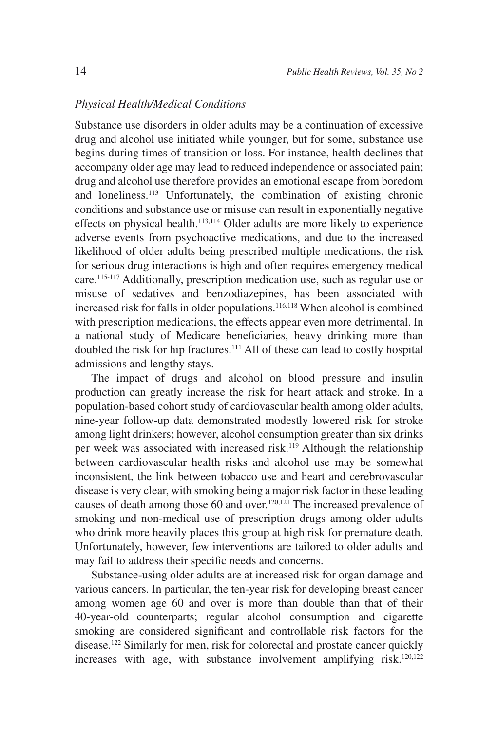### *Physical Health/Medical Conditions*

Substance use disorders in older adults may be a continuation of excessive drug and alcohol use initiated while younger, but for some, substance use begins during times of transition or loss. For instance, health declines that accompany older age may lead to reduced independence or associated pain; drug and alcohol use therefore provides an emotional escape from boredom and loneliness.113 Unfortunately, the combination of existing chronic conditions and substance use or misuse can result in exponentially negative effects on physical health.<sup>113,114</sup> Older adults are more likely to experience adverse events from psychoactive medications, and due to the increased likelihood of older adults being prescribed multiple medications, the risk for serious drug interactions is high and often requires emergency medical care.115-117 Additionally, prescription medication use, such as regular use or misuse of sedatives and benzodiazepines, has been associated with increased risk for falls in older populations.116,118 When alcohol is combined with prescription medications, the effects appear even more detrimental. In a national study of Medicare beneficiaries, heavy drinking more than doubled the risk for hip fractures.<sup>111</sup> All of these can lead to costly hospital admissions and lengthy stays.

The impact of drugs and alcohol on blood pressure and insulin production can greatly increase the risk for heart attack and stroke. In a population-based cohort study of cardiovascular health among older adults, nine-year follow-up data demonstrated modestly lowered risk for stroke among light drinkers; however, alcohol consumption greater than six drinks per week was associated with increased risk.<sup>119</sup> Although the relationship between cardiovascular health risks and alcohol use may be somewhat inconsistent, the link between tobacco use and heart and cerebrovascular disease is very clear, with smoking being a major risk factor in these leading causes of death among those 60 and over.<sup>120,121</sup> The increased prevalence of smoking and non-medical use of prescription drugs among older adults who drink more heavily places this group at high risk for premature death. Unfortunately, however, few interventions are tailored to older adults and may fail to address their specific needs and concerns.

Substance-using older adults are at increased risk for organ damage and various cancers. In particular, the ten-year risk for developing breast cancer among women age 60 and over is more than double than that of their 40-year-old counterparts; regular alcohol consumption and cigarette smoking are considered significant and controllable risk factors for the disease.122 Similarly for men, risk for colorectal and prostate cancer quickly increases with age, with substance involvement amplifying risk.<sup>120,122</sup>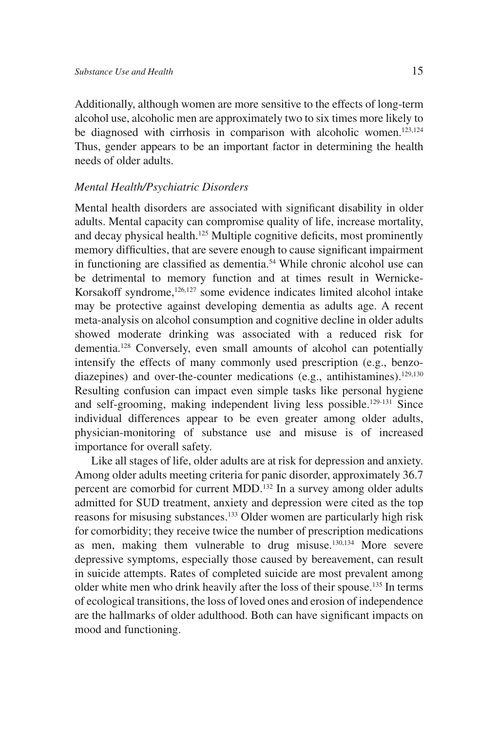Additionally, although women are more sensitive to the effects of long-term alcohol use, alcoholic men are approximately two to six times more likely to be diagnosed with cirrhosis in comparison with alcoholic women.<sup>123,124</sup> Thus, gender appears to be an important factor in determining the health needs of older adults.

#### *Mental Health/Psychiatric Disorders*

Mental health disorders are associated with significant disability in older adults. Mental capacity can compromise quality of life, increase mortality, and decay physical health.<sup>125</sup> Multiple cognitive deficits, most prominently memory difficulties, that are severe enough to cause significant impairment in functioning are classified as dementia.<sup>54</sup> While chronic alcohol use can be detrimental to memory function and at times result in Wernicke-Korsakoff syndrome,<sup>126,127</sup> some evidence indicates limited alcohol intake may be protective against developing dementia as adults age. A recent meta-analysis on alcohol consumption and cognitive decline in older adults showed moderate drinking was associated with a reduced risk for dementia.128 Conversely, even small amounts of alcohol can potentially intensify the effects of many commonly used prescription (e.g., benzodiazepines) and over-the-counter medications (e.g., antihistamines).<sup>129,130</sup> Resulting confusion can impact even simple tasks like personal hygiene and self-grooming, making independent living less possible.129-131 Since individual differences appear to be even greater among older adults, physician-monitoring of substance use and misuse is of increased importance for overall safety.

Like all stages of life, older adults are at risk for depression and anxiety. Among older adults meeting criteria for panic disorder, approximately 36.7 percent are comorbid for current MDD.132 In a survey among older adults admitted for SUD treatment, anxiety and depression were cited as the top reasons for misusing substances.133 Older women are particularly high risk for comorbidity; they receive twice the number of prescription medications as men, making them vulnerable to drug misuse.130,134 More severe depressive symptoms, especially those caused by bereavement, can result in suicide attempts. Rates of completed suicide are most prevalent among older white men who drink heavily after the loss of their spouse.135 In terms of ecological transitions, the loss of loved ones and erosion of independence are the hallmarks of older adulthood. Both can have significant impacts on mood and functioning.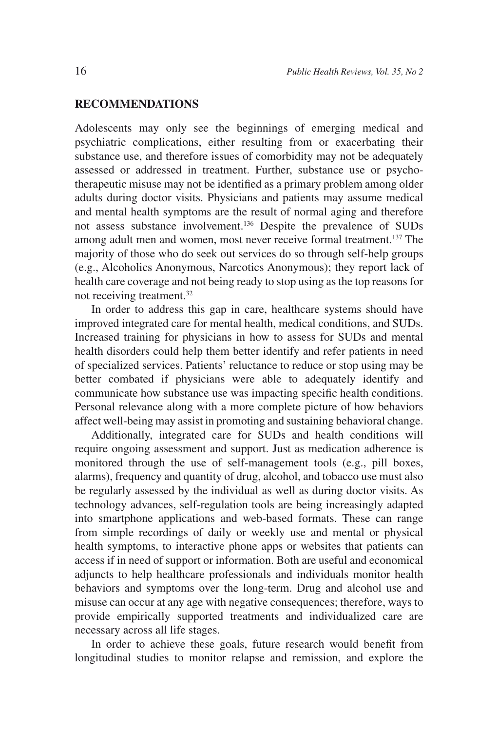### **RECOMMENDATIONS**

Adolescents may only see the beginnings of emerging medical and psychiatric complications, either resulting from or exacerbating their substance use, and therefore issues of comorbidity may not be adequately assessed or addressed in treatment. Further, substance use or psychotherapeutic misuse may not be identified as a primary problem among older adults during doctor visits. Physicians and patients may assume medical and mental health symptoms are the result of normal aging and therefore not assess substance involvement.136 Despite the prevalence of SUDs among adult men and women, most never receive formal treatment.137 The majority of those who do seek out services do so through self-help groups (e.g., Alcoholics Anonymous, Narcotics Anonymous); they report lack of health care coverage and not being ready to stop using as the top reasons for not receiving treatment.32

In order to address this gap in care, healthcare systems should have improved integrated care for mental health, medical conditions, and SUDs. Increased training for physicians in how to assess for SUDs and mental health disorders could help them better identify and refer patients in need of specialized services. Patients' reluctance to reduce or stop using may be better combated if physicians were able to adequately identify and communicate how substance use was impacting specific health conditions. Personal relevance along with a more complete picture of how behaviors affect well-being may assist in promoting and sustaining behavioral change.

Additionally, integrated care for SUDs and health conditions will require ongoing assessment and support. Just as medication adherence is monitored through the use of self-management tools (e.g., pill boxes, alarms), frequency and quantity of drug, alcohol, and tobacco use must also be regularly assessed by the individual as well as during doctor visits. As technology advances, self-regulation tools are being increasingly adapted into smartphone applications and web-based formats. These can range from simple recordings of daily or weekly use and mental or physical health symptoms, to interactive phone apps or websites that patients can access if in need of support or information. Both are useful and economical adjuncts to help healthcare professionals and individuals monitor health behaviors and symptoms over the long-term. Drug and alcohol use and misuse can occur at any age with negative consequences; therefore, ways to provide empirically supported treatments and individualized care are necessary across all life stages.

In order to achieve these goals, future research would benefit from longitudinal studies to monitor relapse and remission, and explore the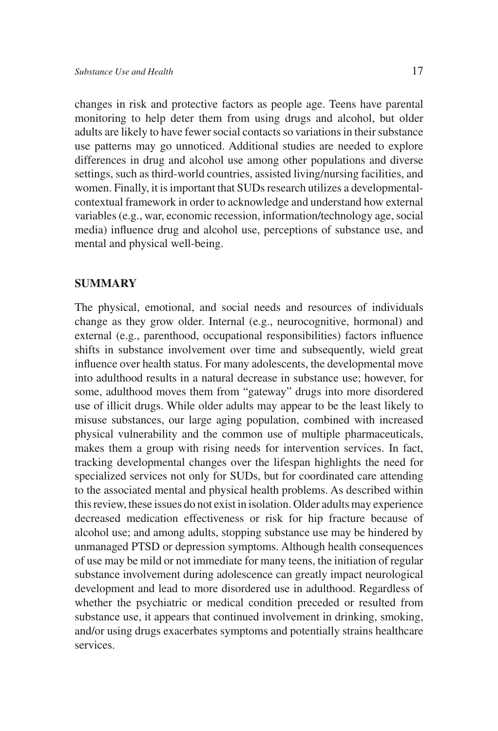changes in risk and protective factors as people age. Teens have parental monitoring to help deter them from using drugs and alcohol, but older adults are likely to have fewer social contacts so variations in their substance use patterns may go unnoticed. Additional studies are needed to explore differences in drug and alcohol use among other populations and diverse settings, such as third-world countries, assisted living/nursing facilities, and women. Finally, it is important that SUDs research utilizes a developmentalcontextual framework in order to acknowledge and understand how external variables (e.g., war, economic recession, information/technology age, social media) influence drug and alcohol use, perceptions of substance use, and mental and physical well-being.

### **SUMMARY**

The physical, emotional, and social needs and resources of individuals change as they grow older. Internal (e.g., neurocognitive, hormonal) and external (e.g., parenthood, occupational responsibilities) factors influence shifts in substance involvement over time and subsequently, wield great influence over health status. For many adolescents, the developmental move into adulthood results in a natural decrease in substance use; however, for some, adulthood moves them from "gateway" drugs into more disordered use of illicit drugs. While older adults may appear to be the least likely to misuse substances, our large aging population, combined with increased physical vulnerability and the common use of multiple pharmaceuticals, makes them a group with rising needs for intervention services. In fact, tracking developmental changes over the lifespan highlights the need for specialized services not only for SUDs, but for coordinated care attending to the associated mental and physical health problems. As described within this review, these issues do not exist in isolation. Older adults may experience decreased medication effectiveness or risk for hip fracture because of alcohol use; and among adults, stopping substance use may be hindered by unmanaged PTSD or depression symptoms. Although health consequences of use may be mild or not immediate for many teens, the initiation of regular substance involvement during adolescence can greatly impact neurological development and lead to more disordered use in adulthood. Regardless of whether the psychiatric or medical condition preceded or resulted from substance use, it appears that continued involvement in drinking, smoking, and/or using drugs exacerbates symptoms and potentially strains healthcare services.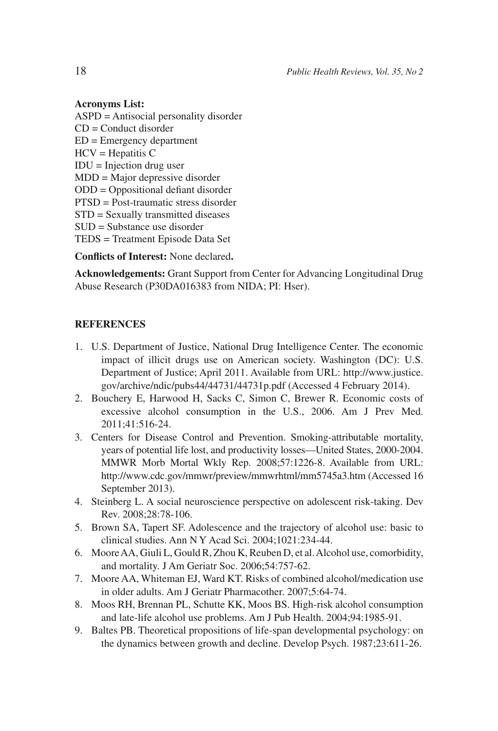#### **Acronyms List:**

ASPD = Antisocial personality disorder CD = Conduct disorder ED = Emergency department HCV = Hepatitis C IDU = Injection drug user MDD = Major depressive disorder ODD = Oppositional defiant disorder PTSD = Post-traumatic stress disorder STD = Sexually transmitted diseases SUD = Substance use disorder TEDS = Treatment Episode Data Set

**Conflicts of Interest:** None declared**.**

**Acknowledgements:** Grant Support from Center for Advancing Longitudinal Drug Abuse Research (P30DA016383 from NIDA; PI: Hser).

#### **REFERENCES**

- 1. U.S. Department of Justice, National Drug Intelligence Center. The economic impact of illicit drugs use on American society. Washington (DC): U.S. Department of Justice; April 2011. Available from URL: http://www.justice. gov/archive/ndic/pubs44/44731/44731p.pdf (Accessed 4 February 2014).
- 2. Bouchery E, Harwood H, Sacks C, Simon C, Brewer R. Economic costs of excessive alcohol consumption in the U.S., 2006. Am J Prev Med. 2011;41:516-24.
- 3. Centers for Disease Control and Prevention. Smoking-attributable mortality, years of potential life lost, and productivity losses—United States, 2000-2004. MMWR Morb Mortal Wkly Rep. 2008;57:1226-8. Available from URL: http://www.cdc.gov/mmwr/preview/mmwrhtml/mm5745a3.htm (Accessed 16 September 2013).
- 4. Steinberg L. A social neuroscience perspective on adolescent risk-taking. Dev Rev. 2008;28:78-106.
- 5. Brown SA, Tapert SF. Adolescence and the trajectory of alcohol use: basic to clinical studies. Ann N Y Acad Sci. 2004;1021:234-44.
- 6. Moore AA, Giuli L, Gould R, Zhou K, Reuben D, et al. Alcohol use, comorbidity, and mortality. J Am Geriatr Soc. 2006;54:757-62.
- 7. Moore AA, Whiteman EJ, Ward KT. Risks of combined alcohol/medication use in older adults. Am J Geriatr Pharmacother. 2007;5:64-74.
- 8. Moos RH, Brennan PL, Schutte KK, Moos BS. High-risk alcohol consumption and late-life alcohol use problems. Am J Pub Health. 2004;94:1985-91.
- 9. Baltes PB. Theoretical propositions of life-span developmental psychology: on the dynamics between growth and decline. Develop Psych. 1987;23:611-26.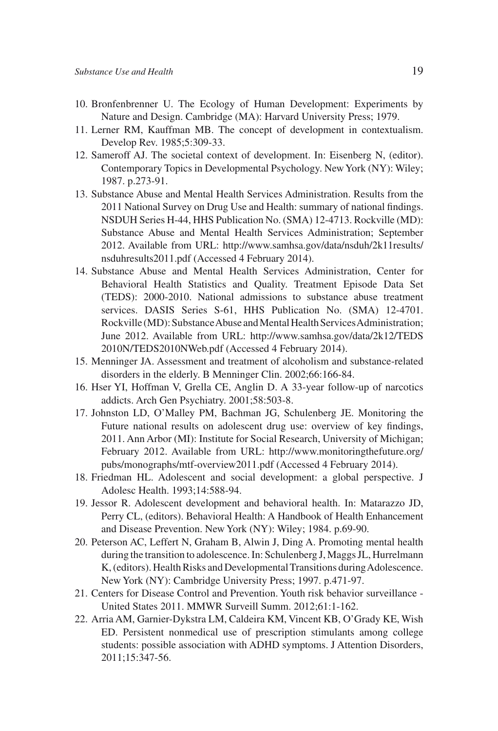- 10. Bronfenbrenner U. The Ecology of Human Development: Experiments by Nature and Design. Cambridge (MA): Harvard University Press; 1979.
- 11. Lerner RM, Kauffman MB. The concept of development in contextualism. Develop Rev. 1985;5:309-33.
- 12. Sameroff AJ. The societal context of development. In: Eisenberg N, (editor). Contemporary Topics in Developmental Psychology. New York (NY): Wiley; 1987. p.273-91.
- 13. Substance Abuse and Mental Health Services Administration. Results from the 2011 National Survey on Drug Use and Health: summary of national findings. NSDUH Series H-44, HHS Publication No. (SMA) 12-4713. Rockville (MD): Substance Abuse and Mental Health Services Administration; September 2012. Available from URL: http://www.samhsa.gov/data/nsduh/2k11results/ nsduhresults2011.pdf (Accessed 4 February 2014).
- 14. Substance Abuse and Mental Health Services Administration, Center for Behavioral Health Statistics and Quality. Treatment Episode Data Set (TEDS): 2000-2010. National admissions to substance abuse treatment services. DASIS Series S-61, HHS Publication No. (SMA) 12-4701. Rockville (MD): Substance Abuse and Mental Health Services Administration; June 2012. Available from URL: http://www.samhsa.gov/data/2k12/TEDS 2010N/TEDS2010NWeb.pdf (Accessed 4 February 2014).
- 15. Menninger JA. Assessment and treatment of alcoholism and substance-related disorders in the elderly. B Menninger Clin. 2002;66:166-84.
- 16. Hser YI, Hoffman V, Grella CE, Anglin D. A 33-year follow-up of narcotics addicts. Arch Gen Psychiatry. 2001;58:503-8.
- 17. Johnston LD, O'Malley PM, Bachman JG, Schulenberg JE. Monitoring the Future national results on adolescent drug use: overview of key findings, 2011. Ann Arbor (MI): Institute for Social Research, University of Michigan; February 2012. Available from URL: http://www.monitoringthefuture.org/ pubs/monographs/mtf-overview2011.pdf (Accessed 4 February 2014).
- 18. Friedman HL. Adolescent and social development: a global perspective. J Adolesc Health. 1993;14:588-94.
- 19. Jessor R. Adolescent development and behavioral health. In: Matarazzo JD, Perry CL, (editors). Behavioral Health: A Handbook of Health Enhancement and Disease Prevention. New York (NY): Wiley; 1984. p.69-90.
- 20. Peterson AC, Leffert N, Graham B, Alwin J, Ding A. Promoting mental health during the transition to adolescence. In: Schulenberg J, Maggs JL, Hurrelmann K, (editors). Health Risks and Developmental Transitions during Adolescence. New York (NY): Cambridge University Press; 1997. p.471-97.
- 21. Centers for Disease Control and Prevention. Youth risk behavior surveillance United States 2011. MMWR Surveill Summ. 2012;61:1-162.
- 22. Arria AM, Garnier-Dykstra LM, Caldeira KM, Vincent KB, O'Grady KE, Wish ED. Persistent nonmedical use of prescription stimulants among college students: possible association with ADHD symptoms. J Attention Disorders, 2011;15:347-56.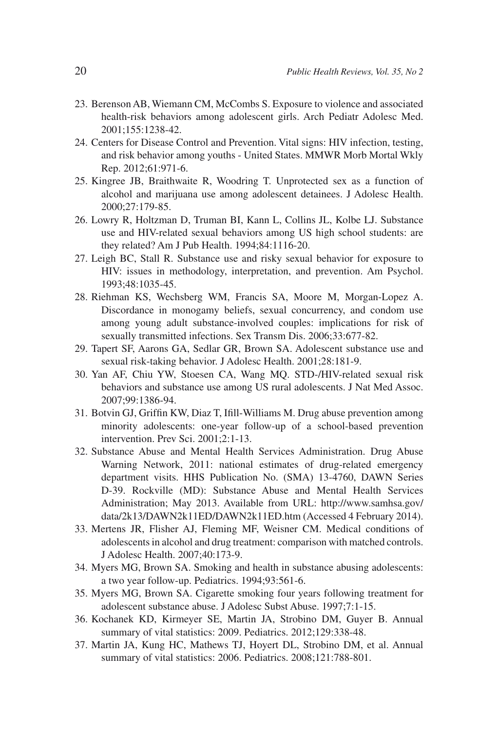- 23. Berenson AB, Wiemann CM, McCombs S. Exposure to violence and associated health-risk behaviors among adolescent girls. Arch Pediatr Adolesc Med. 2001;155:1238-42.
- 24. Centers for Disease Control and Prevention. Vital signs: HIV infection, testing, and risk behavior among youths - United States. MMWR Morb Mortal Wkly Rep. 2012;61:971-6.
- 25. Kingree JB, Braithwaite R, Woodring T. Unprotected sex as a function of alcohol and marijuana use among adolescent detainees. J Adolesc Health. 2000;27:179-85.
- 26. Lowry R, Holtzman D, Truman BI, Kann L, Collins JL, Kolbe LJ. Substance use and HIV-related sexual behaviors among US high school students: are they related? Am J Pub Health. 1994;84:1116-20.
- 27. Leigh BC, Stall R. Substance use and risky sexual behavior for exposure to HIV: issues in methodology, interpretation, and prevention. Am Psychol. 1993;48:1035-45.
- 28. Riehman KS, Wechsberg WM, Francis SA, Moore M, Morgan-Lopez A. Discordance in monogamy beliefs, sexual concurrency, and condom use among young adult substance-involved couples: implications for risk of sexually transmitted infections. Sex Transm Dis. 2006;33:677-82.
- 29. Tapert SF, Aarons GA, Sedlar GR, Brown SA. Adolescent substance use and sexual risk-taking behavior. J Adolesc Health. 2001;28:181-9.
- 30. Yan AF, Chiu YW, Stoesen CA, Wang MQ. STD-/HIV-related sexual risk behaviors and substance use among US rural adolescents. J Nat Med Assoc. 2007;99:1386-94.
- 31. Botvin GJ, Griffin KW, Diaz T, Ifill-Williams M. Drug abuse prevention among minority adolescents: one-year follow-up of a school-based prevention intervention. Prev Sci. 2001;2:1-13.
- 32. Substance Abuse and Mental Health Services Administration. Drug Abuse Warning Network, 2011: national estimates of drug-related emergency department visits. HHS Publication No. (SMA) 13-4760, DAWN Series D-39. Rockville (MD): Substance Abuse and Mental Health Services Administration; May 2013. Available from URL: http://www.samhsa.gov/ data/2k13/DAWN2k11ED/DAWN2k11ED.htm (Accessed 4 February 2014).
- 33. Mertens JR, Flisher AJ, Fleming MF, Weisner CM. Medical conditions of adolescents in alcohol and drug treatment: comparison with matched controls. J Adolesc Health. 2007;40:173-9.
- 34. Myers MG, Brown SA. Smoking and health in substance abusing adolescents: a two year follow-up. Pediatrics. 1994;93:561-6.
- 35. Myers MG, Brown SA. Cigarette smoking four years following treatment for adolescent substance abuse. J Adolesc Subst Abuse. 1997;7:1-15.
- 36. Kochanek KD, Kirmeyer SE, Martin JA, Strobino DM, Guyer B. Annual summary of vital statistics: 2009. Pediatrics. 2012;129:338-48.
- 37. Martin JA, Kung HC, Mathews TJ, Hoyert DL, Strobino DM, et al. Annual summary of vital statistics: 2006. Pediatrics. 2008;121:788-801.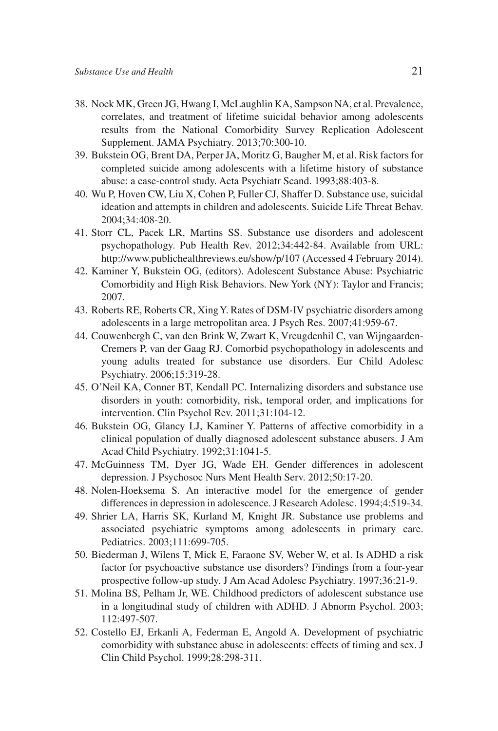- 38. Nock MK, Green JG, Hwang I, McLaughlin KA, Sampson NA, et al. Prevalence, correlates, and treatment of lifetime suicidal behavior among adolescents results from the National Comorbidity Survey Replication Adolescent Supplement. JAMA Psychiatry. 2013;70:300-10.
- 39. Bukstein OG, Brent DA, Perper JA, Moritz G, Baugher M, et al. Risk factors for completed suicide among adolescents with a lifetime history of substance abuse: a case-control study. Acta Psychiatr Scand. 1993;88:403-8.
- 40. Wu P, Hoven CW, Liu X, Cohen P, Fuller CJ, Shaffer D. Substance use, suicidal ideation and attempts in children and adolescents. Suicide Life Threat Behav. 2004;34:408-20.
- 41. Storr CL, Pacek LR, Martins SS. Substance use disorders and adolescent psychopathology. Pub Health Rev. 2012;34:442-84. Available from URL: http://www.publichealthreviews.eu/show/p/107 (Accessed 4 February 2014).
- 42. Kaminer Y, Bukstein OG, (editors). Adolescent Substance Abuse: Psychiatric Comorbidity and High Risk Behaviors. New York (NY): Taylor and Francis; 2007.
- 43. Roberts RE, Roberts CR, Xing Y. Rates of DSM-IV psychiatric disorders among adolescents in a large metropolitan area. J Psych Res. 2007;41:959-67.
- 44. Couwenbergh C, van den Brink W, Zwart K, Vreugdenhil C, van Wijngaarden-Cremers P, van der Gaag RJ. Comorbid psychopathology in adolescents and young adults treated for substance use disorders. Eur Child Adolesc Psychiatry. 2006;15:319-28.
- 45. O'Neil KA, Conner BT, Kendall PC. Internalizing disorders and substance use disorders in youth: comorbidity, risk, temporal order, and implications for intervention. Clin Psychol Rev. 2011;31:104-12.
- 46. Bukstein OG, Glancy LJ, Kaminer Y. Patterns of affective comorbidity in a clinical population of dually diagnosed adolescent substance abusers. J Am Acad Child Psychiatry. 1992;31:1041-5.
- 47. McGuinness TM, Dyer JG, Wade EH. Gender differences in adolescent depression. J Psychosoc Nurs Ment Health Serv. 2012;50:17-20.
- 48. Nolen-Hoeksema S. An interactive model for the emergence of gender differences in depression in adolescence. J Research Adolesc. 1994;4:519-34.
- 49. Shrier LA, Harris SK, Kurland M, Knight JR. Substance use problems and associated psychiatric symptoms among adolescents in primary care. Pediatrics. 2003;111:699-705.
- 50. Biederman J, Wilens T, Mick E, Faraone SV, Weber W, et al. Is ADHD a risk factor for psychoactive substance use disorders? Findings from a four-year prospective follow-up study. J Am Acad Adolesc Psychiatry. 1997;36:21-9.
- 51. Molina BS, Pelham Jr, WE. Childhood predictors of adolescent substance use in a longitudinal study of children with ADHD. J Abnorm Psychol. 2003; 112:497-507.
- 52. Costello EJ, Erkanli A, Federman E, Angold A. Development of psychiatric comorbidity with substance abuse in adolescents: effects of timing and sex. J Clin Child Psychol. 1999;28:298-311.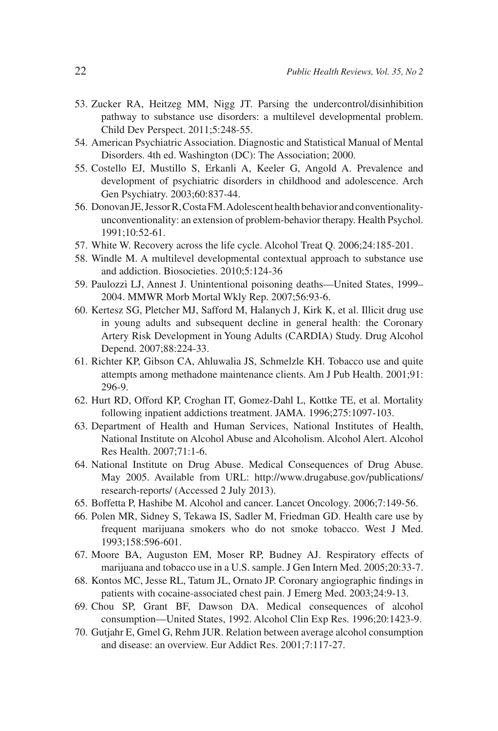- 53. Zucker RA, Heitzeg MM, Nigg JT. Parsing the undercontrol/disinhibition pathway to substance use disorders: a multilevel developmental problem. Child Dev Perspect. 2011;5:248-55.
- 54. American Psychiatric Association. Diagnostic and Statistical Manual of Mental Disorders. 4th ed. Washington (DC): The Association; 2000.
- 55. Costello EJ, Mustillo S, Erkanli A, Keeler G, Angold A. Prevalence and development of psychiatric disorders in childhood and adolescence. Arch Gen Psychiatry. 2003;60:837-44.
- 56. Donovan JE, Jessor R, Costa FM. Adolescent health behavior and conventionalityunconventionality: an extension of problem-behavior therapy. Health Psychol. 1991;10:52-61.
- 57. White W. Recovery across the life cycle. Alcohol Treat Q. 2006;24:185-201.
- 58. Windle M. A multilevel developmental contextual approach to substance use and addiction. Biosocieties. 2010;5:124-36
- 59. Paulozzi LJ, Annest J. Unintentional poisoning deaths—United States, 1999– 2004. MMWR Morb Mortal Wkly Rep. 2007;56:93-6.
- 60. Kertesz SG, Pletcher MJ, Safford M, Halanych J, Kirk K, et al. Illicit drug use in young adults and subsequent decline in general health: the Coronary Artery Risk Development in Young Adults (CARDIA) Study. Drug Alcohol Depend. 2007;88:224-33.
- 61. Richter KP, Gibson CA, Ahluwalia JS, Schmelzle KH. Tobacco use and quite attempts among methadone maintenance clients. Am J Pub Health. 2001;91: 296-9.
- 62. Hurt RD, Offord KP, Croghan IT, Gomez-Dahl L, Kottke TE, et al. Mortality following inpatient addictions treatment. JAMA. 1996;275:1097-103.
- 63. Department of Health and Human Services, National Institutes of Health, National Institute on Alcohol Abuse and Alcoholism. Alcohol Alert. Alcohol Res Health. 2007;71:1-6.
- 64. National Institute on Drug Abuse. Medical Consequences of Drug Abuse. May 2005. Available from URL: http://www.drugabuse.gov/publications/ research-reports/ (Accessed 2 July 2013).
- 65. Boffetta P, Hashibe M. Alcohol and cancer. Lancet Oncology. 2006;7:149-56.
- 66. Polen MR, Sidney S, Tekawa IS, Sadler M, Friedman GD. Health care use by frequent marijuana smokers who do not smoke tobacco. West J Med. 1993;158:596-601.
- 67. Moore BA, Auguston EM, Moser RP, Budney AJ. Respiratory effects of marijuana and tobacco use in a U.S. sample. J Gen Intern Med. 2005;20:33-7.
- 68. Kontos MC, Jesse RL, Tatum JL, Ornato JP. Coronary angiographic findings in patients with cocaine-associated chest pain. J Emerg Med. 2003;24:9-13.
- 69. Chou SP, Grant BF, Dawson DA. Medical consequences of alcohol consumption—United States, 1992. Alcohol Clin Exp Res. 1996;20:1423-9.
- 70. Gutjahr E, Gmel G, Rehm JUR. Relation between average alcohol consumption and disease: an overview. Eur Addict Res. 2001;7:117-27.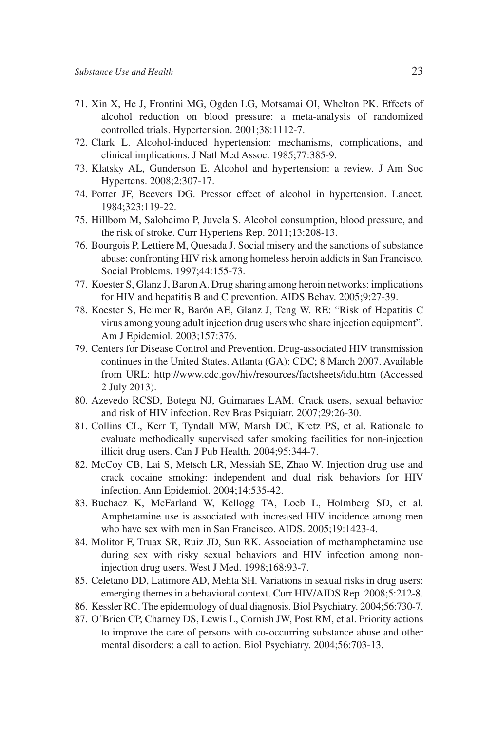- 71. Xin X, He J, Frontini MG, Ogden LG, Motsamai OI, Whelton PK. Effects of alcohol reduction on blood pressure: a meta-analysis of randomized controlled trials. Hypertension. 2001;38:1112-7.
- 72. Clark L. Alcohol-induced hypertension: mechanisms, complications, and clinical implications. J Natl Med Assoc. 1985;77:385-9.
- 73. Klatsky AL, Gunderson E. Alcohol and hypertension: a review. J Am Soc Hypertens. 2008;2:307-17.
- 74. Potter JF, Beevers DG. Pressor effect of alcohol in hypertension. Lancet. 1984;323:119-22.
- 75. Hillbom M, Saloheimo P, Juvela S. Alcohol consumption, blood pressure, and the risk of stroke. Curr Hypertens Rep. 2011;13:208-13.
- 76. Bourgois P, Lettiere M, Quesada J. Social misery and the sanctions of substance abuse: confronting HIV risk among homeless heroin addicts in San Francisco. Social Problems. 1997;44:155-73.
- 77. Koester S, Glanz J, Baron A. Drug sharing among heroin networks: implications for HIV and hepatitis B and C prevention. AIDS Behav. 2005;9:27-39.
- 78. Koester S, Heimer R, Barón AE, Glanz J, Teng W. RE: "Risk of Hepatitis C virus among young adult injection drug users who share injection equipment". Am J Epidemiol. 2003;157:376.
- 79. Centers for Disease Control and Prevention. Drug-associated HIV transmission continues in the United States. Atlanta (GA): CDC; 8 March 2007. Available from URL: http://www.cdc.gov/hiv/resources/factsheets/idu.htm (Accessed 2 July 2013).
- 80. Azevedo RCSD, Botega NJ, Guimaraes LAM. Crack users, sexual behavior and risk of HIV infection. Rev Bras Psiquiatr. 2007;29:26-30.
- 81. Collins CL, Kerr T, Tyndall MW, Marsh DC, Kretz PS, et al. Rationale to evaluate methodically supervised safer smoking facilities for non-injection illicit drug users. Can J Pub Health. 2004;95:344-7.
- 82. McCoy CB, Lai S, Metsch LR, Messiah SE, Zhao W. Injection drug use and crack cocaine smoking: independent and dual risk behaviors for HIV infection. Ann Epidemiol. 2004;14:535-42.
- 83. Buchacz K, McFarland W, Kellogg TA, Loeb L, Holmberg SD, et al. Amphetamine use is associated with increased HIV incidence among men who have sex with men in San Francisco. AIDS. 2005;19:1423-4.
- 84. Molitor F, Truax SR, Ruiz JD, Sun RK. Association of methamphetamine use during sex with risky sexual behaviors and HIV infection among noninjection drug users. West J Med. 1998;168:93-7.
- 85. Celetano DD, Latimore AD, Mehta SH. Variations in sexual risks in drug users: emerging themes in a behavioral context. Curr HIV/AIDS Rep. 2008;5:212-8.
- 86. Kessler RC. The epidemiology of dual diagnosis. Biol Psychiatry. 2004;56:730-7.
- 87. O'Brien CP, Charney DS, Lewis L, Cornish JW, Post RM, et al. Priority actions to improve the care of persons with co-occurring substance abuse and other mental disorders: a call to action. Biol Psychiatry. 2004;56:703-13.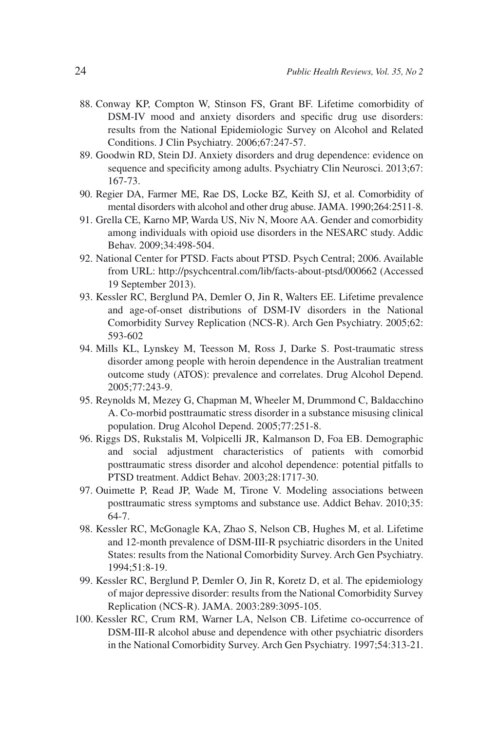- 88. Conway KP, Compton W, Stinson FS, Grant BF. Lifetime comorbidity of DSM-IV mood and anxiety disorders and specific drug use disorders: results from the National Epidemiologic Survey on Alcohol and Related Conditions. J Clin Psychiatry. 2006;67:247-57.
- 89. Goodwin RD, Stein DJ. Anxiety disorders and drug dependence: evidence on sequence and specificity among adults. Psychiatry Clin Neurosci. 2013;67: 167-73.
- 90. Regier DA, Farmer ME, Rae DS, Locke BZ, Keith SJ, et al. Comorbidity of mental disorders with alcohol and other drug abuse. JAMA. 1990;264:2511-8.
- 91. Grella CE, Karno MP, Warda US, Niv N, Moore AA. Gender and comorbidity among individuals with opioid use disorders in the NESARC study. Addic Behav. 2009;34:498-504.
- 92. National Center for PTSD. Facts about PTSD. Psych Central; 2006. Available from URL: http://psychcentral.com/lib/facts-about-ptsd/000662 (Accessed 19 September 2013).
- 93. Kessler RC, Berglund PA, Demler O, Jin R, Walters EE. Lifetime prevalence and age-of-onset distributions of DSM-IV disorders in the National Comorbidity Survey Replication (NCS-R). Arch Gen Psychiatry. 2005;62: 593-602
- 94. Mills KL, Lynskey M, Teesson M, Ross J, Darke S. Post-traumatic stress disorder among people with heroin dependence in the Australian treatment outcome study (ATOS): prevalence and correlates. Drug Alcohol Depend. 2005;77:243-9.
- 95. Reynolds M, Mezey G, Chapman M, Wheeler M, Drummond C, Baldacchino A. Co-morbid posttraumatic stress disorder in a substance misusing clinical population. Drug Alcohol Depend. 2005;77:251-8.
- 96. Riggs DS, Rukstalis M, Volpicelli JR, Kalmanson D, Foa EB. Demographic and social adjustment characteristics of patients with comorbid posttraumatic stress disorder and alcohol dependence: potential pitfalls to PTSD treatment. Addict Behav. 2003;28:1717-30.
- 97. Ouimette P, Read JP, Wade M, Tirone V. Modeling associations between posttraumatic stress symptoms and substance use. Addict Behav. 2010;35: 64-7.
- 98. Kessler RC, McGonagle KA, Zhao S, Nelson CB, Hughes M, et al. Lifetime and 12-month prevalence of DSM-III-R psychiatric disorders in the United States: results from the National Comorbidity Survey. Arch Gen Psychiatry. 1994;51:8-19.
- 99. Kessler RC, Berglund P, Demler O, Jin R, Koretz D, et al. The epidemiology of major depressive disorder: results from the National Comorbidity Survey Replication (NCS-R). JAMA. 2003:289:3095-105.
- 100. Kessler RC, Crum RM, Warner LA, Nelson CB. Lifetime co-occurrence of DSM-III-R alcohol abuse and dependence with other psychiatric disorders in the National Comorbidity Survey. Arch Gen Psychiatry. 1997;54:313-21.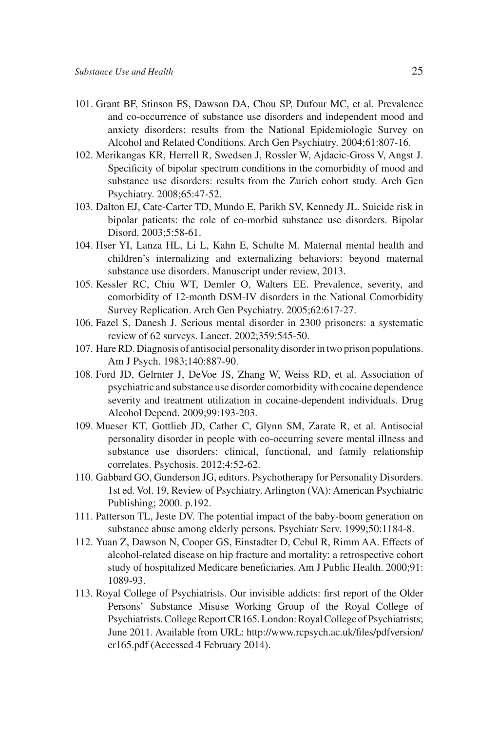- 101. Grant BF, Stinson FS, Dawson DA, Chou SP, Dufour MC, et al. Prevalence and co-occurrence of substance use disorders and independent mood and anxiety disorders: results from the National Epidemiologic Survey on Alcohol and Related Conditions. Arch Gen Psychiatry. 2004;61:807-16.
- 102. Merikangas KR, Herrell R, Swedsen J, Rossler W, Ajdacic-Gross V, Angst J. Specificity of bipolar spectrum conditions in the comorbidity of mood and substance use disorders: results from the Zurich cohort study. Arch Gen Psychiatry. 2008;65:47-52.
- 103. Dalton EJ, Cate-Carter TD, Mundo E, Parikh SV, Kennedy JL. Suicide risk in bipolar patients: the role of co-morbid substance use disorders. Bipolar Disord. 2003;5:58-61.
- 104. Hser YI, Lanza HL, Li L, Kahn E, Schulte M. Maternal mental health and children's internalizing and externalizing behaviors: beyond maternal substance use disorders. Manuscript under review, 2013.
- 105. Kessler RC, Chiu WT, Demler O, Walters EE. Prevalence, severity, and comorbidity of 12-month DSM-IV disorders in the National Comorbidity Survey Replication. Arch Gen Psychiatry. 2005;62:617-27.
- 106. Fazel S, Danesh J. Serious mental disorder in 2300 prisoners: a systematic review of 62 surveys. Lancet. 2002;359:545-50.
- 107. Hare RD. Diagnosis of antisocial personality disorder in two prison populations. Am J Psych. 1983;140:887-90.
- 108. Ford JD, Gelrnter J, DeVoe JS, Zhang W, Weiss RD, et al. Association of psychiatric and substance use disorder comorbidity with cocaine dependence severity and treatment utilization in cocaine-dependent individuals. Drug Alcohol Depend. 2009;99:193-203.
- 109. Mueser KT, Gottlieb JD, Cather C, Glynn SM, Zarate R, et al. Antisocial personality disorder in people with co-occurring severe mental illness and substance use disorders: clinical, functional, and family relationship correlates. Psychosis. 2012;4:52-62.
- 110. Gabbard GO, Gunderson JG, editors. Psychotherapy for Personality Disorders. 1st ed. Vol. 19, Review of Psychiatry. Arlington (VA): American Psychiatric Publishing; 2000. p.192.
- 111. Patterson TL, Jeste DV. The potential impact of the baby-boom generation on substance abuse among elderly persons. Psychiatr Serv. 1999;50:1184-8.
- 112. Yuan Z, Dawson N, Cooper GS, Einstadter D, Cebul R, Rimm AA. Effects of alcohol-related disease on hip fracture and mortality: a retrospective cohort study of hospitalized Medicare beneficiaries. Am J Public Health. 2000;91: 1089-93.
- 113. Royal College of Psychiatrists. Our invisible addicts: first report of the Older Persons' Substance Misuse Working Group of the Royal College of Psychiatrists. College Report CR165. London: Royal College of Psychiatrists; June 2011. Available from URL: http://www.rcpsych.ac.uk/files/pdfversion/ cr165.pdf (Accessed 4 February 2014).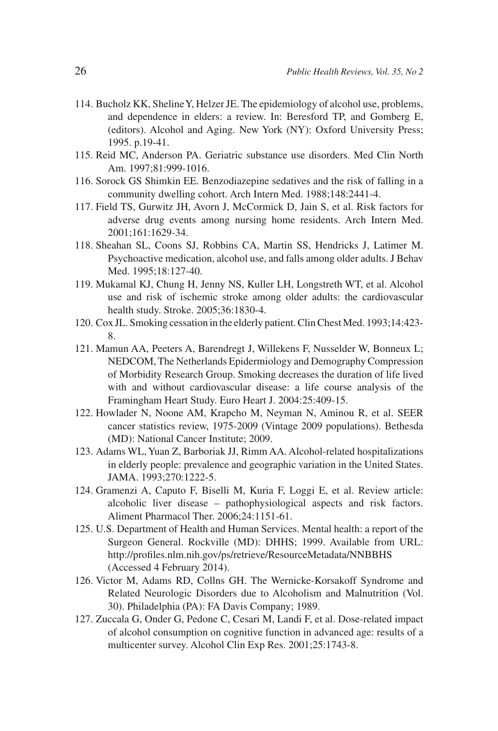- 114. Bucholz KK, Sheline Y, Helzer JE. The epidemiology of alcohol use, problems, and dependence in elders: a review. In: Beresford TP, and Gomberg E, (editors). Alcohol and Aging. New York (NY): Oxford University Press; 1995. p.19-41.
- 115. Reid MC, Anderson PA. Geriatric substance use disorders. Med Clin North Am. 1997;81:999-1016.
- 116. Sorock GS Shimkin EE. Benzodiazepine sedatives and the risk of falling in a community dwelling cohort. Arch Intern Med. 1988;148:2441-4.
- 117. Field TS, Gurwitz JH, Avorn J, McCormick D, Jain S, et al. Risk factors for adverse drug events among nursing home residents. Arch Intern Med. 2001;161:1629-34.
- 118. Sheahan SL, Coons SJ, Robbins CA, Martin SS, Hendricks J, Latimer M. Psychoactive medication, alcohol use, and falls among older adults. J Behav Med. 1995;18:127-40.
- 119. Mukamal KJ, Chung H, Jenny NS, Kuller LH, Longstreth WT, et al. Alcohol use and risk of ischemic stroke among older adults: the cardiovascular health study. Stroke. 2005;36:1830-4.
- 120. Cox JL. Smoking cessation in the elderly patient. Clin Chest Med. 1993;14:423- 8.
- 121. Mamun AA, Peeters A, Barendregt J, Willekens F, Nusselder W, Bonneux L; NEDCOM, The Netherlands Epidermiology and Demography Compression of Morbidity Research Group. Smoking decreases the duration of life lived with and without cardiovascular disease: a life course analysis of the Framingham Heart Study. Euro Heart J. 2004:25:409-15.
- 122. Howlader N, Noone AM, Krapcho M, Neyman N, Aminou R, et al. SEER cancer statistics review, 1975-2009 (Vintage 2009 populations). Bethesda (MD): National Cancer Institute; 2009.
- 123. Adams WL, Yuan Z, Barboriak JJ, Rimm AA. Alcohol-related hospitalizations in elderly people: prevalence and geographic variation in the United States. JAMA. 1993;270:1222-5.
- 124. Gramenzi A, Caputo F, Biselli M, Kuria F, Loggi E, et al. Review article: alcoholic liver disease – pathophysiological aspects and risk factors. Aliment Pharmacol Ther. 2006;24:1151-61.
- 125. U.S. Department of Health and Human Services. Mental health: a report of the Surgeon General. Rockville (MD): DHHS; 1999. Available from URL: http://profiles.nlm.nih.gov/ps/retrieve/ResourceMetadata/NNBBHS (Accessed 4 February 2014).
- 126. Victor M, Adams RD, Collns GH. The Wernicke-Korsakoff Syndrome and Related Neurologic Disorders due to Alcoholism and Malnutrition (Vol. 30). Philadelphia (PA): FA Davis Company; 1989.
- 127. Zuccala G, Onder G, Pedone C, Cesari M, Landi F, et al. Dose-related impact of alcohol consumption on cognitive function in advanced age: results of a multicenter survey. Alcohol Clin Exp Res. 2001;25:1743-8.